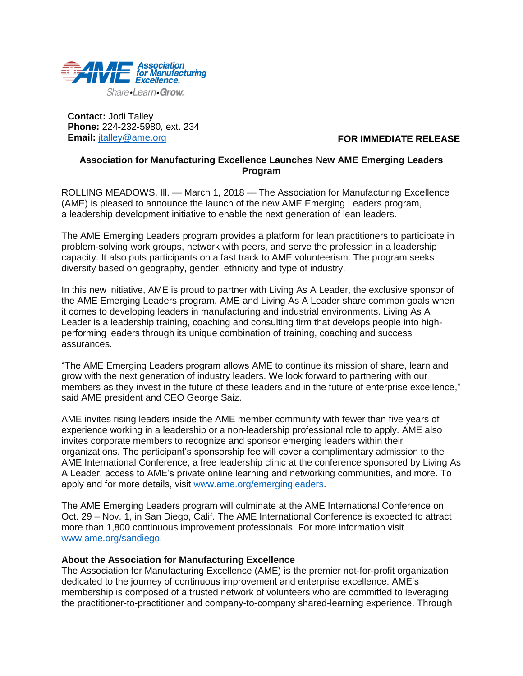

**Contact:** Jodi Talley **Phone:** 224-232-5980, ext. 234 **Email:** [jtalley@ame.org](mailto:jtalley@ame.org)

## **FOR IMMEDIATE RELEASE**

## **Association for Manufacturing Excellence Launches New AME Emerging Leaders Program**

ROLLING MEADOWS, III. - March 1, 2018 - The Association for Manufacturing Excellence (AME) is pleased to announce the launch of the new AME Emerging Leaders program, a leadership development initiative to enable the next generation of lean leaders.

The AME Emerging Leaders program provides a platform for lean practitioners to participate in problem-solving work groups, network with peers, and serve the profession in a leadership capacity. It also puts participants on a fast track to AME volunteerism. The program seeks diversity based on geography, gender, ethnicity and type of industry.

In this new initiative, AME is proud to partner with Living As A Leader, the exclusive sponsor of the AME Emerging Leaders program. AME and Living As A Leader share common goals when it comes to developing leaders in manufacturing and industrial environments. Living As A Leader is a leadership training, coaching and consulting firm that develops people into highperforming leaders through its unique combination of training, coaching and success assurances.

"The AME Emerging Leaders program allows AME to continue its mission of share, learn and grow with the next generation of industry leaders. We look forward to partnering with our members as they invest in the future of these leaders and in the future of enterprise excellence," said AME president and CEO George Saiz.

AME invites rising leaders inside the AME member community with fewer than five years of experience working in a leadership or a non-leadership professional role to apply. AME also invites corporate members to recognize and sponsor emerging leaders within their organizations. The participant's sponsorship fee will cover a complimentary admission to the AME International Conference, a free leadership clinic at the conference sponsored by Living As A Leader, access to AME's private online learning and networking communities, and more. To apply and for more details, visit [www.ame.org/emergingleaders.](http://www.ame.org/emergingleaders)

The AME Emerging Leaders program will culminate at the AME International Conference on Oct. 29 – Nov. 1, in San Diego, Calif. The AME International Conference is expected to attract more than 1,800 continuous improvement professionals. For more information visit [www.ame.org/sandiego.](www.ame.org/sandiego)

## **About the Association for Manufacturing Excellence**

The Association for Manufacturing Excellence (AME) is the premier not-for-profit organization dedicated to the journey of continuous improvement and enterprise excellence. AME's membership is composed of a trusted network of volunteers who are committed to leveraging the practitioner-to-practitioner and company-to-company shared-learning experience. Through